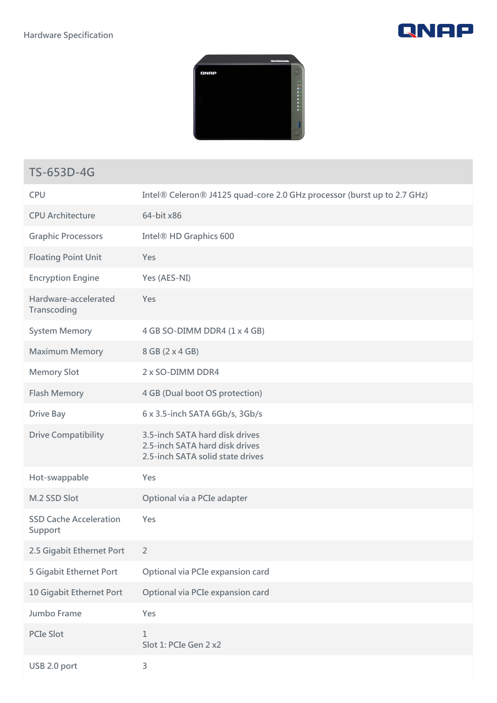



## **TS-653D-4G**

| <b>CPU</b>                               | Intel® Celeron® J4125 quad-core 2.0 GHz processor (burst up to 2.7 GHz)                              |
|------------------------------------------|------------------------------------------------------------------------------------------------------|
| <b>CPU Architecture</b>                  | 64-bit x86                                                                                           |
| <b>Graphic Processors</b>                | Intel <sup>®</sup> HD Graphics 600                                                                   |
| <b>Floating Point Unit</b>               | Yes                                                                                                  |
| <b>Encryption Engine</b>                 | Yes (AES-NI)                                                                                         |
| Hardware-accelerated<br>Transcoding      | Yes                                                                                                  |
| <b>System Memory</b>                     | 4 GB SO-DIMM DDR4 (1 x 4 GB)                                                                         |
| <b>Maximum Memory</b>                    | 8 GB (2 x 4 GB)                                                                                      |
| <b>Memory Slot</b>                       | 2 x SO-DIMM DDR4                                                                                     |
| <b>Flash Memory</b>                      | 4 GB (Dual boot OS protection)                                                                       |
| <b>Drive Bay</b>                         | 6 x 3.5-inch SATA 6Gb/s, 3Gb/s                                                                       |
| <b>Drive Compatibility</b>               | 3.5-inch SATA hard disk drives<br>2.5-inch SATA hard disk drives<br>2.5-inch SATA solid state drives |
| Hot-swappable                            | Yes                                                                                                  |
| M.2 SSD Slot                             | Optional via a PCIe adapter                                                                          |
| <b>SSD Cache Acceleration</b><br>Support | Yes                                                                                                  |
| 2.5 Gigabit Ethernet Port                | $\overline{2}$                                                                                       |
| 5 Gigabit Ethernet Port                  | Optional via PCIe expansion card                                                                     |
| 10 Gigabit Ethernet Port                 | Optional via PCIe expansion card                                                                     |
| <b>Jumbo Frame</b>                       | Yes                                                                                                  |
| <b>PCIe Slot</b>                         | $\mathbf{1}$<br>Slot 1: PCIe Gen 2 x2                                                                |
| USB 2.0 port                             | 3                                                                                                    |